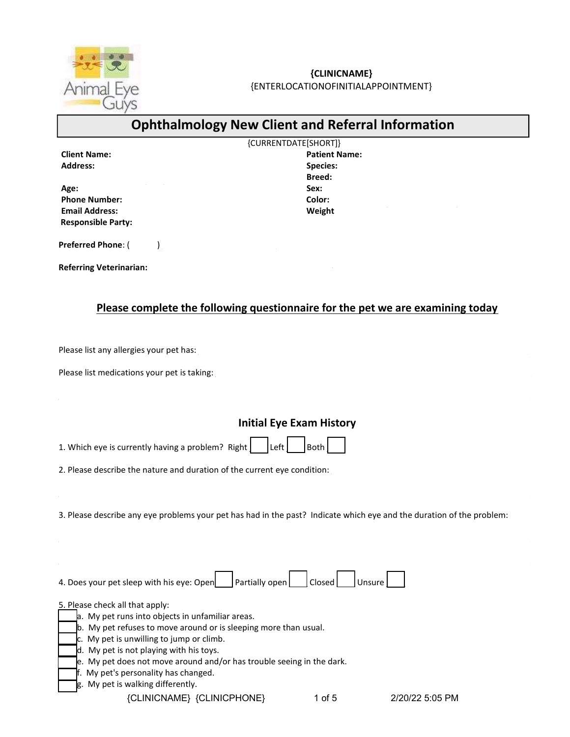

# {CLINICNAME}

{ENTERLOCATIONOFINITIALAPPOINTMENT}

# Ophthalmology New Client and Referral Information

|                           | {CURRENTDATE[SHORT]} |  |
|---------------------------|----------------------|--|
| <b>Client Name:</b>       | <b>Patient Name:</b> |  |
| <b>Address:</b>           | <b>Species:</b>      |  |
|                           | <b>Breed:</b>        |  |
| Age:                      | Sex:                 |  |
| <b>Phone Number:</b>      | Color:               |  |
| <b>Email Address:</b>     | Weight               |  |
| <b>Responsible Party:</b> |                      |  |

Preferred Phone:  $($ 

Referring Veterinarian:

### Please complete the following questionnaire for the pet we are examining today

Please list any allergies your pet has:

Please list medications your pet is taking:

### Initial Eye Exam History

1. Which eye is currently having a problem? Right  $\vert$  Left  $\vert$  Both

2. Please describe the nature and duration of the current eye condition:

3. Please describe any eye problems your pet has had in the past? Indicate which eye and the duration of the problem:

4. Does your pet sleep with his eye: Open  $\Box$  Partially open  $\Box$  Closed  $\Box$  Unsure  $\Box$ 

5. Please check all that apply:

 $a$ . My pet runs into objects in unfamiliar areas.

- b. My pet refuses to move around or is sleeping more than usual.
- $c.$  My pet is unwilling to jump or climb.
- $\overline{d}$ . My pet is not playing with his toys.
- e. My pet does not move around and/or has trouble seeing in the dark.
- f. My pet's personality has changed.
- g. My pet is walking differently.

{CLINICNAME} {CLINICPHONE} 1 of 5 2/20/22 5:05 PM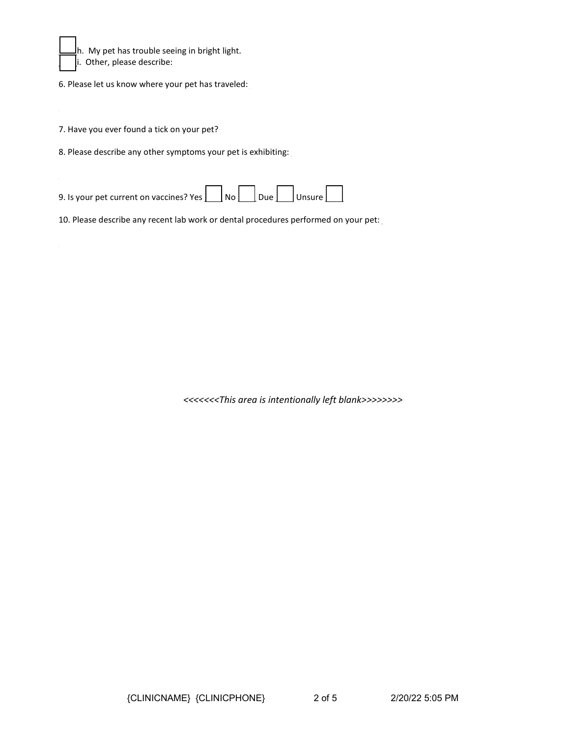

 $\bigsqcup h$ . My pet has trouble seeing in bright light.  $\parallel$   $\parallel$  i. Other, please describe:  $\parallel$ 

6. Please let us know where your pet has traveled:

7. Have you ever found a tick on your pet?

8. Please describe any other symptoms your pet is exhibiting:

9. Is your pet current on vaccines? Yes  $\Box$  No  $\Box$  Due  $\Box$  Unsure

10. Please describe any recent lab work or dental procedures performed on your pet:

<<<<<<<This area is intentionally left blank>>>>>>>>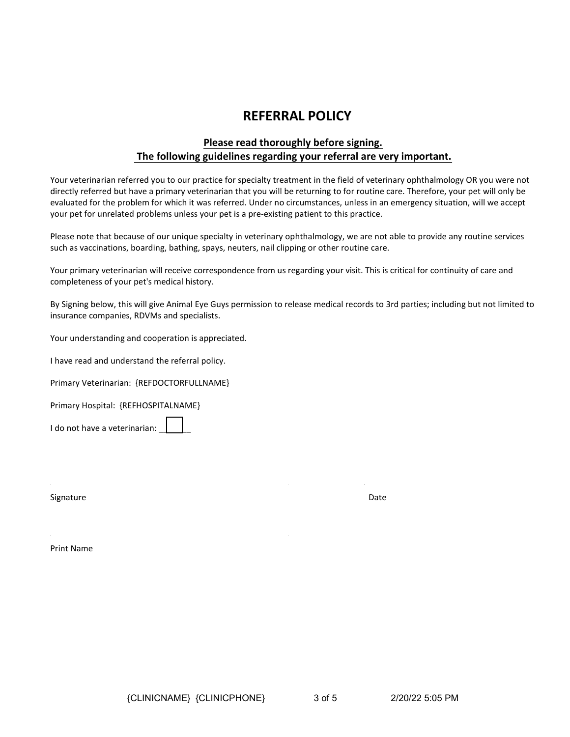## REFERRAL POLICY

### Please read thoroughly before signing. The following guidelines regarding your referral are very important.

Your veterinarian referred you to our practice for specialty treatment in the field of veterinary ophthalmology OR you were not directly referred but have a primary veterinarian that you will be returning to for routine care. Therefore, your pet will only be evaluated for the problem for which it was referred. Under no circumstances, unless in an emergency situation, will we accept your pet for unrelated problems unless your pet is a pre-existing patient to this practice.

Please note that because of our unique specialty in veterinary ophthalmology, we are not able to provide any routine services such as vaccinations, boarding, bathing, spays, neuters, nail clipping or other routine care.

Your primary veterinarian will receive correspondence from us regarding your visit. This is critical for continuity of care and completeness of your pet's medical history.

By Signing below, this will give Animal Eye Guys permission to release medical records to 3rd parties; including but not limited to insurance companies, RDVMs and specialists.

Your understanding and cooperation is appreciated.

I have read and understand the referral policy.

Primary Veterinarian: {REFDOCTORFULLNAME}

Primary Hospital: {REFHOSPITALNAME}

I do not have a veterinarian:

Signature Date **Date** 

Print Name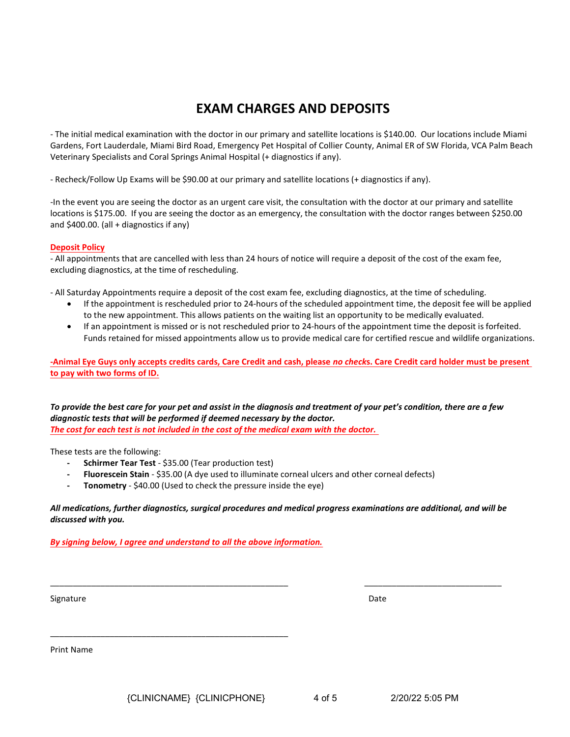## EXAM CHARGES AND DEPOSITS

- The initial medical examination with the doctor in our primary and satellite locations is \$140.00. Our locations include Miami Gardens, Fort Lauderdale, Miami Bird Road, Emergency Pet Hospital of Collier County, Animal ER of SW Florida, VCA Palm Beach Veterinary Specialists and Coral Springs Animal Hospital (+ diagnostics if any).

- Recheck/Follow Up Exams will be \$90.00 at our primary and satellite locations (+ diagnostics if any).

-In the event you are seeing the doctor as an urgent care visit, the consultation with the doctor at our primary and satellite locations is \$175.00. If you are seeing the doctor as an emergency, the consultation with the doctor ranges between \$250.00 and  $$400.00$ . (all + diagnostics if any)

#### Deposit Policy

- All appointments that are cancelled with less than 24 hours of notice will require a deposit of the cost of the exam fee, excluding diagnostics, at the time of rescheduling.

- All Saturday Appointments require a deposit of the cost exam fee, excluding diagnostics, at the time of scheduling.

- If the appointment is rescheduled prior to 24-hours of the scheduled appointment time, the deposit fee will be applied to the new appointment. This allows patients on the waiting list an opportunity to be medically evaluated.
- If an appointment is missed or is not rescheduled prior to 24-hours of the appointment time the deposit is forfeited. Funds retained for missed appointments allow us to provide medical care for certified rescue and wildlife organizations.

-Animal Eye Guys only accepts credits cards, Care Credit and cash, please no checks. Care Credit card holder must be present to pay with two forms of ID.

#### To provide the best care for your pet and assist in the diagnosis and treatment of your pet's condition, there are a few diagnostic tests that will be performed if deemed necessary by the doctor. The cost for each test is not included in the cost of the medical exam with the doctor.

These tests are the following:

- Schirmer Tear Test - \$35.00 (Tear production test)

\_\_\_\_\_\_\_\_\_\_\_\_\_\_\_\_\_\_\_\_\_\_\_\_\_\_\_\_\_\_\_\_\_\_\_\_\_\_\_\_\_\_\_\_\_\_\_\_\_\_\_\_

- Fluorescein Stain \$35.00 (A dye used to illuminate corneal ulcers and other corneal defects)
- Tonometry \$40.00 (Used to check the pressure inside the eye)

#### All medications, further diagnostics, surgical procedures and medical progress examinations are additional, and will be discussed with you.

\_\_\_\_\_\_\_\_\_\_\_\_\_\_\_\_\_\_\_\_\_\_\_\_\_\_\_\_\_\_\_\_\_\_\_\_\_\_\_\_\_\_\_\_\_\_\_\_\_\_\_\_ \_\_\_\_\_\_\_\_\_\_\_\_\_\_\_\_\_\_\_\_\_\_\_\_\_\_\_\_\_\_

By signing below, I agree and understand to all the above information.

Signature Date **Date** 

Print Name